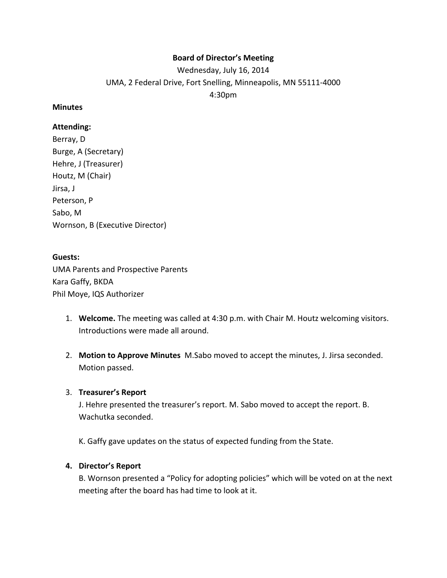## **Board of Director's Meeting**

Wednesday, July 16, 2014 UMA, 2 Federal Drive, Fort Snelling, Minneapolis, MN 55111-4000 4:30pm

#### **Minutes**

### **Attending:**

Berray, D Burge, A (Secretary) Hehre, J (Treasurer) Houtz, M (Chair) Jirsa, J Peterson, P Sabo, M Wornson, B (Executive Director)

#### **Guests:**

UMA Parents and Prospective Parents Kara Gaffy, BKDA Phil Moye, IQS Authorizer

- 1. **Welcome.** The meeting was called at 4:30 p.m. with Chair M. Houtz welcoming visitors. Introductions were made all around.
- 2. **Motion to Approve Minutes** M.Sabo moved to accept the minutes, J. Jirsa seconded. Motion passed.

#### 3. **Treasurer's Report**

J. Hehre presented the treasurer's report. M. Sabo moved to accept the report. B. Wachutka seconded.

K. Gaffy gave updates on the status of expected funding from the State.

#### **4. Director's Report**

B. Wornson presented a "Policy for adopting policies" which will be voted on at the next meeting after the board has had time to look at it.